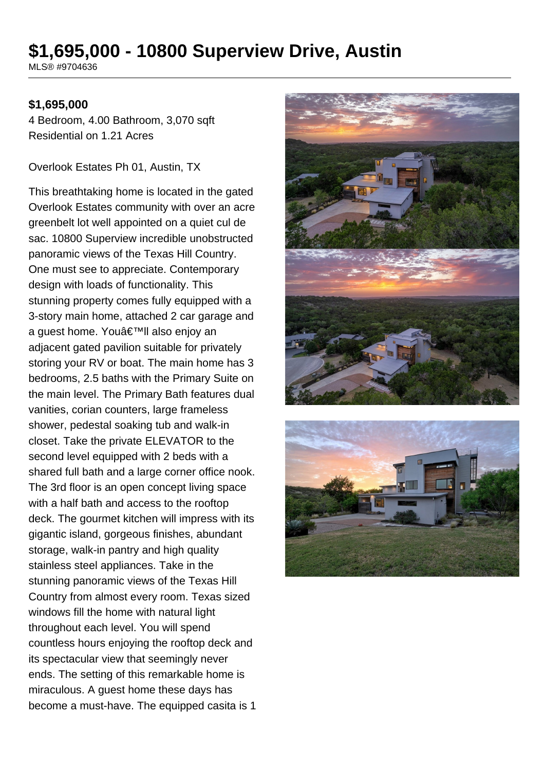# **\$1,695,000 - 10800 Superview Drive, Austin**

MLS® #9704636

#### **\$1,695,000**

4 Bedroom, 4.00 Bathroom, 3,070 sqft Residential on 1.21 Acres

Overlook Estates Ph 01, Austin, TX

This breathtaking home is located in the gated Overlook Estates community with over an acre greenbelt lot well appointed on a quiet cul de sac. 10800 Superview incredible unobstructed panoramic views of the Texas Hill Country. One must see to appreciate. Contemporary design with loads of functionality. This stunning property comes fully equipped with a 3-story main home, attached 2 car garage and a guest home. You'll also enjoy an adiacent gated pavilion suitable for privately storing your RV or boat. The main home has 3 bedrooms, 2.5 baths with the Primary Suite on the main level. The Primary Bath features dual vanities, corian counters, large frameless shower, pedestal soaking tub and walk-in closet. Take the private ELEVATOR to the second level equipped with 2 beds with a shared full bath and a large corner office nook. The 3rd floor is an open concept living space with a half bath and access to the rooftop deck. The gourmet kitchen will impress with its gigantic island, gorgeous finishes, abundant storage, walk-in pantry and high quality stainless steel appliances. Take in the stunning panoramic views of the Texas Hill Country from almost every room. Texas sized windows fill the home with natural light throughout each level. You will spend countless hours enjoying the rooftop deck and its spectacular view that seemingly never ends. The setting of this remarkable home is miraculous. A guest home these days has become a must-have. The equipped casita is 1



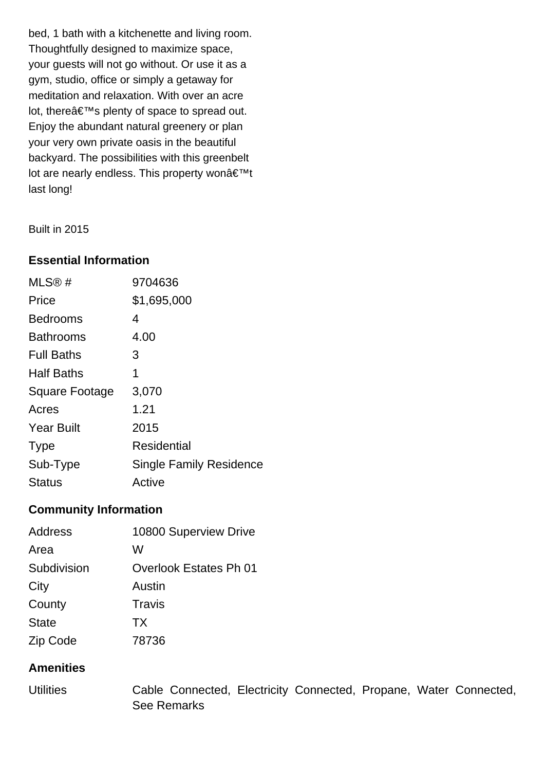bed, 1 bath with a kitchenette and living room. Thoughtfully designed to maximize space, your guests will not go without. Or use it as a gym, studio, office or simply a getaway for meditation and relaxation. With over an acre lot, there $\hat{a} \in T^M$ s plenty of space to spread out. Enjoy the abundant natural greenery or plan your very own private oasis in the beautiful backyard. The possibilities with this greenbelt lot are nearly endless. This property won't last long!

Built in 2015

## **Essential Information**

| MLS®#                 | 9704636                        |
|-----------------------|--------------------------------|
| Price                 | \$1,695,000                    |
| <b>Bedrooms</b>       | 4                              |
| <b>Bathrooms</b>      | 4.00                           |
| <b>Full Baths</b>     | З                              |
| <b>Half Baths</b>     | 1                              |
| <b>Square Footage</b> | 3,070                          |
| Acres                 | 1.21                           |
| <b>Year Built</b>     | 2015                           |
| <b>Type</b>           | Residential                    |
| Sub-Type              | <b>Single Family Residence</b> |
| <b>Status</b>         | Active                         |

## **Community Information**

| Address      | 10800 Superview Drive  |
|--------------|------------------------|
| Area         | W                      |
| Subdivision  | Overlook Estates Ph 01 |
| City         | Austin                 |
| County       | Travis                 |
| <b>State</b> | <b>TX</b>              |
| Zip Code     | 78736                  |

## **Amenities**

Utilities Cable Connected, Electricity Connected, Propane, Water Connected, See Remarks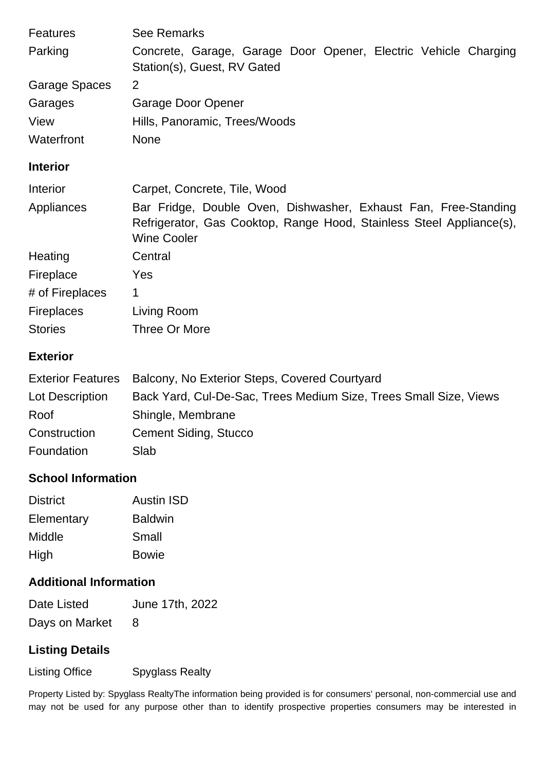| <b>Features</b>      | <b>See Remarks</b>                                                                                                                                            |
|----------------------|---------------------------------------------------------------------------------------------------------------------------------------------------------------|
| Parking              | Concrete, Garage, Garage Door Opener, Electric Vehicle Charging<br>Station(s), Guest, RV Gated                                                                |
| <b>Garage Spaces</b> | 2                                                                                                                                                             |
| Garages              | Garage Door Opener                                                                                                                                            |
| View                 | Hills, Panoramic, Trees/Woods                                                                                                                                 |
| Waterfront           | <b>None</b>                                                                                                                                                   |
| <b>Interior</b>      |                                                                                                                                                               |
| Interior             | Carpet, Concrete, Tile, Wood                                                                                                                                  |
| Appliances           | Bar Fridge, Double Oven, Dishwasher, Exhaust Fan, Free-Standing<br>Refrigerator, Gas Cooktop, Range Hood, Stainless Steel Appliance(s),<br><b>Wine Cooler</b> |
| Heating              | Central                                                                                                                                                       |
| Fireplace            | Yes                                                                                                                                                           |
| # of Fireplaces      | 1                                                                                                                                                             |
| <b>Fireplaces</b>    | Living Room                                                                                                                                                   |
| <b>Stories</b>       | Three Or More                                                                                                                                                 |

## **Exterior**

| <b>Exterior Features</b> | Balcony, No Exterior Steps, Covered Courtyard                     |
|--------------------------|-------------------------------------------------------------------|
| Lot Description          | Back Yard, Cul-De-Sac, Trees Medium Size, Trees Small Size, Views |
| Roof                     | Shingle, Membrane                                                 |
| Construction             | <b>Cement Siding, Stucco</b>                                      |
| Foundation               | Slab                                                              |

# **School Information**

| <b>District</b> | <b>Austin ISD</b> |
|-----------------|-------------------|
| Elementary      | <b>Baldwin</b>    |
| Middle          | Small             |
| High            | <b>Bowie</b>      |

# **Additional Information**

| Date Listed    | June 17th, 2022 |
|----------------|-----------------|
| Days on Market |                 |

# **Listing Details**

Listing Office Spyglass Realty

Property Listed by: Spyglass RealtyThe information being provided is for consumers' personal, non-commercial use and may not be used for any purpose other than to identify prospective properties consumers may be interested in